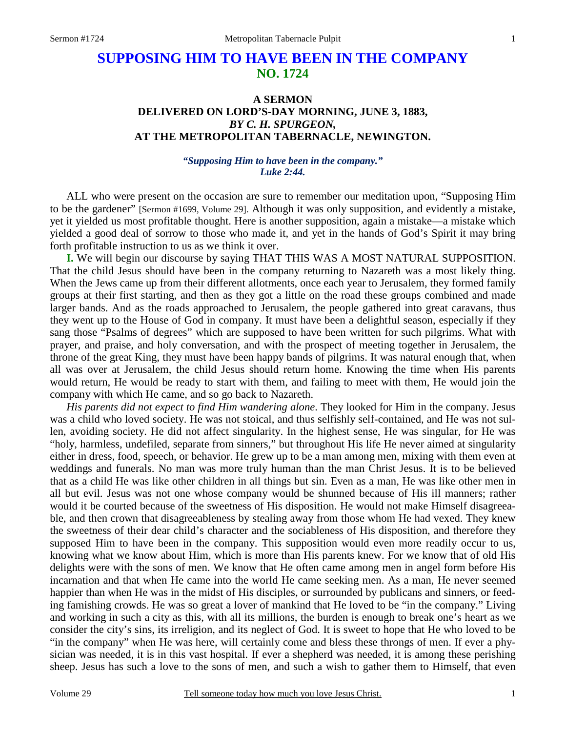# **SUPPOSING HIM TO HAVE BEEN IN THE COMPANY NO. 1724**

## **A SERMON DELIVERED ON LORD'S-DAY MORNING, JUNE 3, 1883,**  *BY C. H. SPURGEON,*  **AT THE METROPOLITAN TABERNACLE, NEWINGTON.**

#### *"Supposing Him to have been in the company." Luke 2:44.*

ALL who were present on the occasion are sure to remember our meditation upon, "Supposing Him to be the gardener" [Sermon #1699, Volume 29]. Although it was only supposition, and evidently a mistake, yet it yielded us most profitable thought. Here is another supposition, again a mistake—a mistake which yielded a good deal of sorrow to those who made it, and yet in the hands of God's Spirit it may bring forth profitable instruction to us as we think it over.

**I.** We will begin our discourse by saying THAT THIS WAS A MOST NATURAL SUPPOSITION. That the child Jesus should have been in the company returning to Nazareth was a most likely thing. When the Jews came up from their different allotments, once each year to Jerusalem, they formed family groups at their first starting, and then as they got a little on the road these groups combined and made larger bands. And as the roads approached to Jerusalem, the people gathered into great caravans, thus they went up to the House of God in company. It must have been a delightful season, especially if they sang those "Psalms of degrees" which are supposed to have been written for such pilgrims. What with prayer, and praise, and holy conversation, and with the prospect of meeting together in Jerusalem, the throne of the great King, they must have been happy bands of pilgrims. It was natural enough that, when all was over at Jerusalem, the child Jesus should return home. Knowing the time when His parents would return, He would be ready to start with them, and failing to meet with them, He would join the company with which He came, and so go back to Nazareth.

*His parents did not expect to find Him wandering alone*. They looked for Him in the company. Jesus was a child who loved society. He was not stoical, and thus selfishly self-contained, and He was not sullen, avoiding society. He did not affect singularity. In the highest sense, He was singular, for He was "holy, harmless, undefiled, separate from sinners," but throughout His life He never aimed at singularity either in dress, food, speech, or behavior. He grew up to be a man among men, mixing with them even at weddings and funerals. No man was more truly human than the man Christ Jesus. It is to be believed that as a child He was like other children in all things but sin. Even as a man, He was like other men in all but evil. Jesus was not one whose company would be shunned because of His ill manners; rather would it be courted because of the sweetness of His disposition. He would not make Himself disagreeable, and then crown that disagreeableness by stealing away from those whom He had vexed. They knew the sweetness of their dear child's character and the sociableness of His disposition, and therefore they supposed Him to have been in the company. This supposition would even more readily occur to us, knowing what we know about Him, which is more than His parents knew. For we know that of old His delights were with the sons of men. We know that He often came among men in angel form before His incarnation and that when He came into the world He came seeking men. As a man, He never seemed happier than when He was in the midst of His disciples, or surrounded by publicans and sinners, or feeding famishing crowds. He was so great a lover of mankind that He loved to be "in the company." Living and working in such a city as this, with all its millions, the burden is enough to break one's heart as we consider the city's sins, its irreligion, and its neglect of God. It is sweet to hope that He who loved to be "in the company" when He was here, will certainly come and bless these throngs of men. If ever a physician was needed, it is in this vast hospital. If ever a shepherd was needed, it is among these perishing sheep. Jesus has such a love to the sons of men, and such a wish to gather them to Himself, that even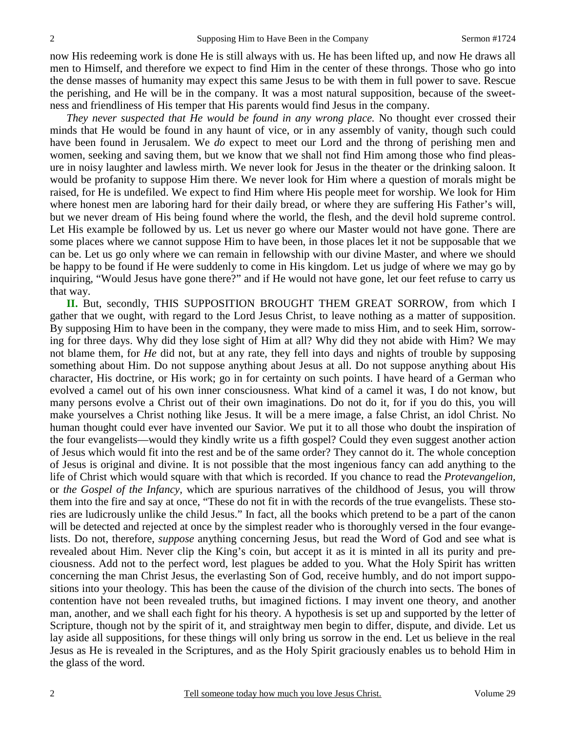now His redeeming work is done He is still always with us. He has been lifted up, and now He draws all men to Himself, and therefore we expect to find Him in the center of these throngs. Those who go into the dense masses of humanity may expect this same Jesus to be with them in full power to save. Rescue the perishing, and He will be in the company. It was a most natural supposition, because of the sweetness and friendliness of His temper that His parents would find Jesus in the company.

*They never suspected that He would be found in any wrong place.* No thought ever crossed their minds that He would be found in any haunt of vice, or in any assembly of vanity, though such could have been found in Jerusalem. We *do* expect to meet our Lord and the throng of perishing men and women, seeking and saving them, but we know that we shall not find Him among those who find pleasure in noisy laughter and lawless mirth. We never look for Jesus in the theater or the drinking saloon. It would be profanity to suppose Him there. We never look for Him where a question of morals might be raised, for He is undefiled. We expect to find Him where His people meet for worship. We look for Him where honest men are laboring hard for their daily bread, or where they are suffering His Father's will, but we never dream of His being found where the world, the flesh, and the devil hold supreme control. Let His example be followed by us. Let us never go where our Master would not have gone. There are some places where we cannot suppose Him to have been, in those places let it not be supposable that we can be. Let us go only where we can remain in fellowship with our divine Master, and where we should be happy to be found if He were suddenly to come in His kingdom. Let us judge of where we may go by inquiring, "Would Jesus have gone there?" and if He would not have gone, let our feet refuse to carry us that way.

**II.** But, secondly, THIS SUPPOSITION BROUGHT THEM GREAT SORROW, from which I gather that we ought, with regard to the Lord Jesus Christ, to leave nothing as a matter of supposition. By supposing Him to have been in the company, they were made to miss Him, and to seek Him, sorrowing for three days. Why did they lose sight of Him at all? Why did they not abide with Him? We may not blame them, for *He* did not, but at any rate, they fell into days and nights of trouble by supposing something about Him. Do not suppose anything about Jesus at all. Do not suppose anything about His character, His doctrine, or His work; go in for certainty on such points. I have heard of a German who evolved a camel out of his own inner consciousness. What kind of a camel it was, I do not know, but many persons evolve a Christ out of their own imaginations. Do not do it, for if you do this, you will make yourselves a Christ nothing like Jesus. It will be a mere image, a false Christ, an idol Christ. No human thought could ever have invented our Savior. We put it to all those who doubt the inspiration of the four evangelists—would they kindly write us a fifth gospel? Could they even suggest another action of Jesus which would fit into the rest and be of the same order? They cannot do it. The whole conception of Jesus is original and divine. It is not possible that the most ingenious fancy can add anything to the life of Christ which would square with that which is recorded. If you chance to read the *Protevangelion,* or *the Gospel of the Infancy,* which are spurious narratives of the childhood of Jesus, you will throw them into the fire and say at once, "These do not fit in with the records of the true evangelists. These stories are ludicrously unlike the child Jesus." In fact, all the books which pretend to be a part of the canon will be detected and rejected at once by the simplest reader who is thoroughly versed in the four evangelists. Do not, therefore, *suppose* anything concerning Jesus, but read the Word of God and see what is revealed about Him. Never clip the King's coin, but accept it as it is minted in all its purity and preciousness. Add not to the perfect word, lest plagues be added to you. What the Holy Spirit has written concerning the man Christ Jesus, the everlasting Son of God, receive humbly, and do not import suppositions into your theology. This has been the cause of the division of the church into sects. The bones of contention have not been revealed truths, but imagined fictions. I may invent one theory, and another man, another, and we shall each fight for his theory. A hypothesis is set up and supported by the letter of Scripture, though not by the spirit of it, and straightway men begin to differ, dispute, and divide. Let us lay aside all suppositions, for these things will only bring us sorrow in the end. Let us believe in the real Jesus as He is revealed in the Scriptures, and as the Holy Spirit graciously enables us to behold Him in the glass of the word.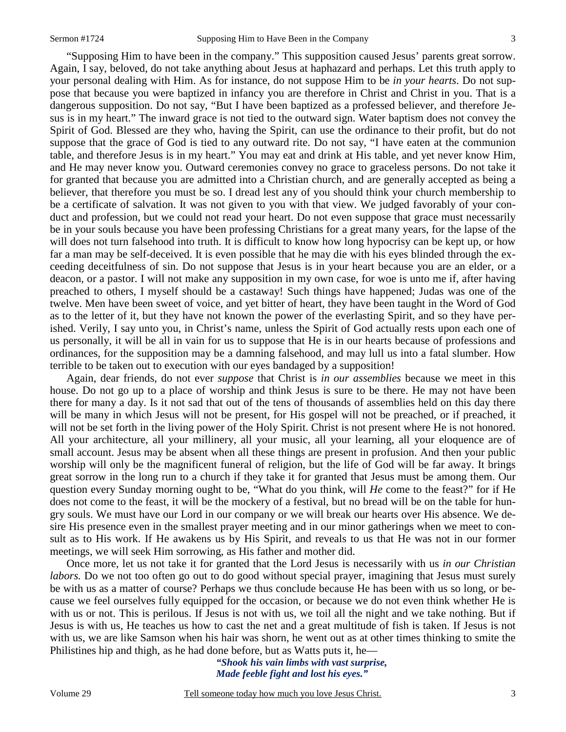"Supposing Him to have been in the company." This supposition caused Jesus' parents great sorrow. Again, I say, beloved, do not take anything about Jesus at haphazard and perhaps. Let this truth apply to your personal dealing with Him. As for instance, do not suppose Him to be *in your hearts*. Do not suppose that because you were baptized in infancy you are therefore in Christ and Christ in you. That is a dangerous supposition. Do not say, "But I have been baptized as a professed believer, and therefore Jesus is in my heart." The inward grace is not tied to the outward sign. Water baptism does not convey the Spirit of God. Blessed are they who, having the Spirit, can use the ordinance to their profit, but do not suppose that the grace of God is tied to any outward rite. Do not say, "I have eaten at the communion table, and therefore Jesus is in my heart." You may eat and drink at His table, and yet never know Him, and He may never know you. Outward ceremonies convey no grace to graceless persons. Do not take it for granted that because you are admitted into a Christian church, and are generally accepted as being a believer, that therefore you must be so. I dread lest any of you should think your church membership to be a certificate of salvation. It was not given to you with that view. We judged favorably of your conduct and profession, but we could not read your heart. Do not even suppose that grace must necessarily be in your souls because you have been professing Christians for a great many years, for the lapse of the will does not turn falsehood into truth. It is difficult to know how long hypocrisy can be kept up, or how far a man may be self-deceived. It is even possible that he may die with his eyes blinded through the exceeding deceitfulness of sin. Do not suppose that Jesus is in your heart because you are an elder, or a deacon, or a pastor. I will not make any supposition in my own case, for woe is unto me if, after having preached to others, I myself should be a castaway! Such things have happened; Judas was one of the twelve. Men have been sweet of voice, and yet bitter of heart, they have been taught in the Word of God as to the letter of it, but they have not known the power of the everlasting Spirit, and so they have perished. Verily, I say unto you, in Christ's name, unless the Spirit of God actually rests upon each one of us personally, it will be all in vain for us to suppose that He is in our hearts because of professions and ordinances, for the supposition may be a damning falsehood, and may lull us into a fatal slumber. How terrible to be taken out to execution with our eyes bandaged by a supposition!

 Again, dear friends, do not ever *suppose* that Christ is *in our assemblies* because we meet in this house. Do not go up to a place of worship and think Jesus is sure to be there. He may not have been there for many a day. Is it not sad that out of the tens of thousands of assemblies held on this day there will be many in which Jesus will not be present, for His gospel will not be preached, or if preached, it will not be set forth in the living power of the Holy Spirit. Christ is not present where He is not honored. All your architecture, all your millinery, all your music, all your learning, all your eloquence are of small account. Jesus may be absent when all these things are present in profusion. And then your public worship will only be the magnificent funeral of religion, but the life of God will be far away. It brings great sorrow in the long run to a church if they take it for granted that Jesus must be among them. Our question every Sunday morning ought to be, "What do you think, will *He* come to the feast?" for if He does not come to the feast, it will be the mockery of a festival, but no bread will be on the table for hungry souls. We must have our Lord in our company or we will break our hearts over His absence. We desire His presence even in the smallest prayer meeting and in our minor gatherings when we meet to consult as to His work. If He awakens us by His Spirit, and reveals to us that He was not in our former meetings, we will seek Him sorrowing, as His father and mother did.

 Once more, let us not take it for granted that the Lord Jesus is necessarily with us *in our Christian labors*. Do we not too often go out to do good without special prayer, imagining that Jesus must surely be with us as a matter of course? Perhaps we thus conclude because He has been with us so long, or because we feel ourselves fully equipped for the occasion, or because we do not even think whether He is with us or not. This is perilous. If Jesus is not with us, we toil all the night and we take nothing. But if Jesus is with us, He teaches us how to cast the net and a great multitude of fish is taken. If Jesus is not with us, we are like Samson when his hair was shorn, he went out as at other times thinking to smite the Philistines hip and thigh, as he had done before, but as Watts puts it, he—

> *"Shook his vain limbs with vast surprise, Made feeble fight and lost his eyes."*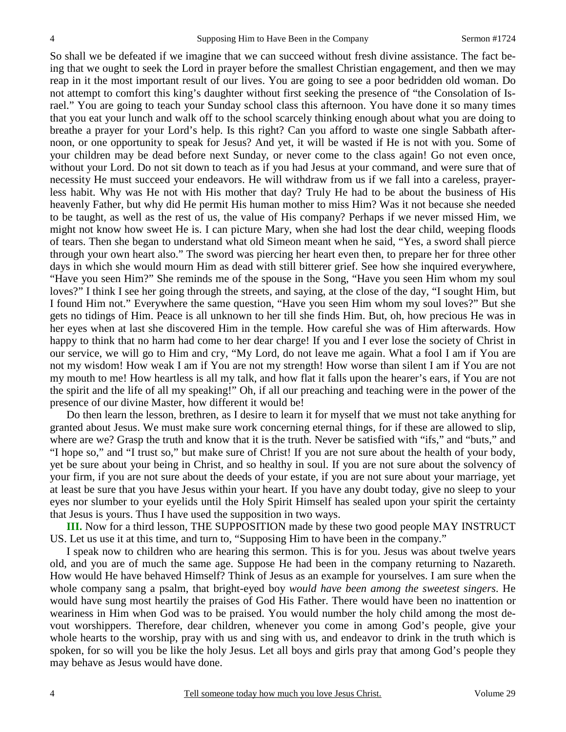So shall we be defeated if we imagine that we can succeed without fresh divine assistance. The fact being that we ought to seek the Lord in prayer before the smallest Christian engagement, and then we may reap in it the most important result of our lives. You are going to see a poor bedridden old woman. Do not attempt to comfort this king's daughter without first seeking the presence of "the Consolation of Israel." You are going to teach your Sunday school class this afternoon. You have done it so many times that you eat your lunch and walk off to the school scarcely thinking enough about what you are doing to breathe a prayer for your Lord's help. Is this right? Can you afford to waste one single Sabbath afternoon, or one opportunity to speak for Jesus? And yet, it will be wasted if He is not with you. Some of your children may be dead before next Sunday, or never come to the class again! Go not even once, without your Lord. Do not sit down to teach as if you had Jesus at your command, and were sure that of necessity He must succeed your endeavors. He will withdraw from us if we fall into a careless, prayerless habit. Why was He not with His mother that day? Truly He had to be about the business of His heavenly Father, but why did He permit His human mother to miss Him? Was it not because she needed to be taught, as well as the rest of us, the value of His company? Perhaps if we never missed Him, we might not know how sweet He is. I can picture Mary, when she had lost the dear child, weeping floods of tears. Then she began to understand what old Simeon meant when he said, "Yes, a sword shall pierce through your own heart also." The sword was piercing her heart even then, to prepare her for three other days in which she would mourn Him as dead with still bitterer grief. See how she inquired everywhere, "Have you seen Him?" She reminds me of the spouse in the Song, "Have you seen Him whom my soul loves?" I think I see her going through the streets, and saying, at the close of the day, "I sought Him, but I found Him not." Everywhere the same question, "Have you seen Him whom my soul loves?" But she gets no tidings of Him. Peace is all unknown to her till she finds Him. But, oh, how precious He was in her eyes when at last she discovered Him in the temple. How careful she was of Him afterwards. How happy to think that no harm had come to her dear charge! If you and I ever lose the society of Christ in our service, we will go to Him and cry, "My Lord, do not leave me again. What a fool I am if You are not my wisdom! How weak I am if You are not my strength! How worse than silent I am if You are not my mouth to me! How heartless is all my talk, and how flat it falls upon the hearer's ears, if You are not the spirit and the life of all my speaking!" Oh, if all our preaching and teaching were in the power of the presence of our divine Master, how different it would be!

 Do then learn the lesson, brethren, as I desire to learn it for myself that we must not take anything for granted about Jesus. We must make sure work concerning eternal things, for if these are allowed to slip, where are we? Grasp the truth and know that it is the truth. Never be satisfied with "ifs," and "buts," and "I hope so," and "I trust so," but make sure of Christ! If you are not sure about the health of your body, yet be sure about your being in Christ, and so healthy in soul. If you are not sure about the solvency of your firm, if you are not sure about the deeds of your estate, if you are not sure about your marriage, yet at least be sure that you have Jesus within your heart. If you have any doubt today, give no sleep to your eyes nor slumber to your eyelids until the Holy Spirit Himself has sealed upon your spirit the certainty that Jesus is yours. Thus I have used the supposition in two ways.

**III.** Now for a third lesson, THE SUPPOSITION made by these two good people MAY INSTRUCT US. Let us use it at this time, and turn to, "Supposing Him to have been in the company."

 I speak now to children who are hearing this sermon. This is for you. Jesus was about twelve years old, and you are of much the same age. Suppose He had been in the company returning to Nazareth. How would He have behaved Himself? Think of Jesus as an example for yourselves. I am sure when the whole company sang a psalm, that bright-eyed boy *would have been among the sweetest singers*. He would have sung most heartily the praises of God His Father. There would have been no inattention or weariness in Him when God was to be praised. You would number the holy child among the most devout worshippers. Therefore, dear children, whenever you come in among God's people, give your whole hearts to the worship, pray with us and sing with us, and endeavor to drink in the truth which is spoken, for so will you be like the holy Jesus. Let all boys and girls pray that among God's people they may behave as Jesus would have done.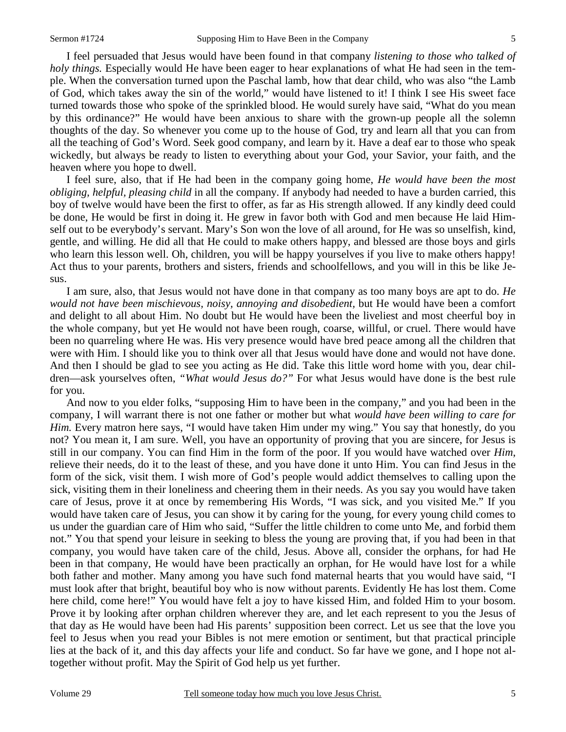I feel persuaded that Jesus would have been found in that company *listening to those who talked of holy things.* Especially would He have been eager to hear explanations of what He had seen in the temple. When the conversation turned upon the Paschal lamb, how that dear child, who was also "the Lamb of God, which takes away the sin of the world," would have listened to it! I think I see His sweet face turned towards those who spoke of the sprinkled blood. He would surely have said, "What do you mean by this ordinance?" He would have been anxious to share with the grown-up people all the solemn thoughts of the day. So whenever you come up to the house of God, try and learn all that you can from all the teaching of God's Word. Seek good company, and learn by it. Have a deaf ear to those who speak wickedly, but always be ready to listen to everything about your God, your Savior, your faith, and the heaven where you hope to dwell.

 I feel sure, also, that if He had been in the company going home, *He would have been the most obliging, helpful, pleasing child* in all the company. If anybody had needed to have a burden carried, this boy of twelve would have been the first to offer, as far as His strength allowed. If any kindly deed could be done, He would be first in doing it. He grew in favor both with God and men because He laid Himself out to be everybody's servant. Mary's Son won the love of all around, for He was so unselfish, kind, gentle, and willing. He did all that He could to make others happy, and blessed are those boys and girls who learn this lesson well. Oh, children, you will be happy yourselves if you live to make others happy! Act thus to your parents, brothers and sisters, friends and schoolfellows, and you will in this be like Jesus.

 I am sure, also, that Jesus would not have done in that company as too many boys are apt to do. *He would not have been mischievous, noisy, annoying and disobedient,* but He would have been a comfort and delight to all about Him. No doubt but He would have been the liveliest and most cheerful boy in the whole company, but yet He would not have been rough, coarse, willful, or cruel. There would have been no quarreling where He was. His very presence would have bred peace among all the children that were with Him. I should like you to think over all that Jesus would have done and would not have done. And then I should be glad to see you acting as He did. Take this little word home with you, dear children—ask yourselves often, *"What would Jesus do?"* For what Jesus would have done is the best rule for you.

 And now to you elder folks, "supposing Him to have been in the company," and you had been in the company, I will warrant there is not one father or mother but what *would have been willing to care for Him.* Every matron here says, "I would have taken Him under my wing." You say that honestly, do you not? You mean it, I am sure. Well, you have an opportunity of proving that you are sincere, for Jesus is still in our company. You can find Him in the form of the poor. If you would have watched over *Him*, relieve their needs, do it to the least of these, and you have done it unto Him. You can find Jesus in the form of the sick, visit them. I wish more of God's people would addict themselves to calling upon the sick, visiting them in their loneliness and cheering them in their needs. As you say you would have taken care of Jesus, prove it at once by remembering His Words, "I was sick, and you visited Me." If you would have taken care of Jesus, you can show it by caring for the young, for every young child comes to us under the guardian care of Him who said, "Suffer the little children to come unto Me, and forbid them not." You that spend your leisure in seeking to bless the young are proving that, if you had been in that company, you would have taken care of the child, Jesus. Above all, consider the orphans, for had He been in that company, He would have been practically an orphan, for He would have lost for a while both father and mother. Many among you have such fond maternal hearts that you would have said, "I must look after that bright, beautiful boy who is now without parents. Evidently He has lost them. Come here child, come here!" You would have felt a joy to have kissed Him, and folded Him to your bosom. Prove it by looking after orphan children wherever they are, and let each represent to you the Jesus of that day as He would have been had His parents' supposition been correct. Let us see that the love you feel to Jesus when you read your Bibles is not mere emotion or sentiment, but that practical principle lies at the back of it, and this day affects your life and conduct. So far have we gone, and I hope not altogether without profit. May the Spirit of God help us yet further.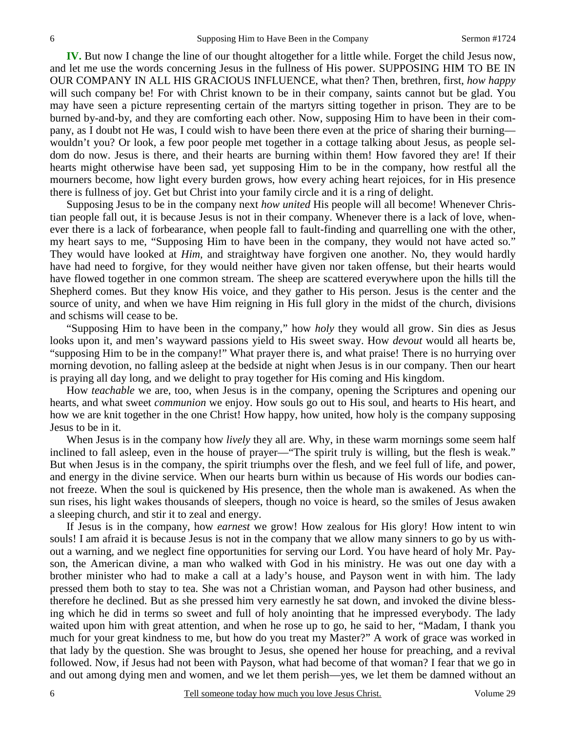**IV.** But now I change the line of our thought altogether for a little while. Forget the child Jesus now, and let me use the words concerning Jesus in the fullness of His power. SUPPOSING HIM TO BE IN OUR COMPANY IN ALL HIS GRACIOUS INFLUENCE, what then? Then, brethren, first, *how happy* will such company be! For with Christ known to be in their company, saints cannot but be glad. You may have seen a picture representing certain of the martyrs sitting together in prison. They are to be burned by-and-by, and they are comforting each other. Now, supposing Him to have been in their company, as I doubt not He was, I could wish to have been there even at the price of sharing their burning wouldn't you? Or look, a few poor people met together in a cottage talking about Jesus, as people seldom do now. Jesus is there, and their hearts are burning within them! How favored they are! If their hearts might otherwise have been sad, yet supposing Him to be in the company, how restful all the mourners become, how light every burden grows, how every aching heart rejoices, for in His presence there is fullness of joy. Get but Christ into your family circle and it is a ring of delight.

 Supposing Jesus to be in the company next *how united* His people will all become! Whenever Christian people fall out, it is because Jesus is not in their company. Whenever there is a lack of love, whenever there is a lack of forbearance, when people fall to fault-finding and quarrelling one with the other, my heart says to me, "Supposing Him to have been in the company, they would not have acted so." They would have looked at *Him,* and straightway have forgiven one another. No, they would hardly have had need to forgive, for they would neither have given nor taken offense, but their hearts would have flowed together in one common stream. The sheep are scattered everywhere upon the hills till the Shepherd comes. But they know His voice, and they gather to His person. Jesus is the center and the source of unity, and when we have Him reigning in His full glory in the midst of the church, divisions and schisms will cease to be.

 "Supposing Him to have been in the company," how *holy* they would all grow. Sin dies as Jesus looks upon it, and men's wayward passions yield to His sweet sway. How *devout* would all hearts be, "supposing Him to be in the company!" What prayer there is, and what praise! There is no hurrying over morning devotion, no falling asleep at the bedside at night when Jesus is in our company. Then our heart is praying all day long, and we delight to pray together for His coming and His kingdom.

 How *teachable* we are, too, when Jesus is in the company, opening the Scriptures and opening our hearts, and what sweet *communion* we enjoy. How souls go out to His soul, and hearts to His heart, and how we are knit together in the one Christ! How happy, how united, how holy is the company supposing Jesus to be in it.

 When Jesus is in the company how *lively* they all are. Why, in these warm mornings some seem half inclined to fall asleep, even in the house of prayer—"The spirit truly is willing, but the flesh is weak." But when Jesus is in the company, the spirit triumphs over the flesh, and we feel full of life, and power, and energy in the divine service. When our hearts burn within us because of His words our bodies cannot freeze. When the soul is quickened by His presence, then the whole man is awakened. As when the sun rises, his light wakes thousands of sleepers, though no voice is heard, so the smiles of Jesus awaken a sleeping church, and stir it to zeal and energy.

 If Jesus is in the company, how *earnest* we grow! How zealous for His glory! How intent to win souls! I am afraid it is because Jesus is not in the company that we allow many sinners to go by us without a warning, and we neglect fine opportunities for serving our Lord. You have heard of holy Mr. Payson, the American divine, a man who walked with God in his ministry. He was out one day with a brother minister who had to make a call at a lady's house, and Payson went in with him. The lady pressed them both to stay to tea. She was not a Christian woman, and Payson had other business, and therefore he declined. But as she pressed him very earnestly he sat down, and invoked the divine blessing which he did in terms so sweet and full of holy anointing that he impressed everybody. The lady waited upon him with great attention, and when he rose up to go, he said to her, "Madam, I thank you much for your great kindness to me, but how do you treat my Master?" A work of grace was worked in that lady by the question. She was brought to Jesus, she opened her house for preaching, and a revival followed. Now, if Jesus had not been with Payson, what had become of that woman? I fear that we go in and out among dying men and women, and we let them perish—yes, we let them be damned without an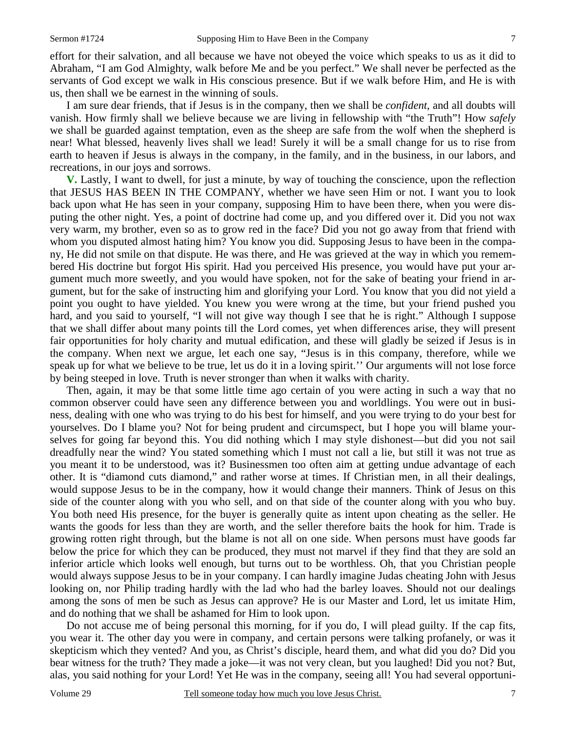effort for their salvation, and all because we have not obeyed the voice which speaks to us as it did to Abraham, "I am God Almighty, walk before Me and be you perfect." We shall never be perfected as the servants of God except we walk in His conscious presence. But if we walk before Him, and He is with us, then shall we be earnest in the winning of souls.

 I am sure dear friends, that if Jesus is in the company, then we shall be *confident*, and all doubts will vanish. How firmly shall we believe because we are living in fellowship with "the Truth"! How *safely* we shall be guarded against temptation, even as the sheep are safe from the wolf when the shepherd is near! What blessed, heavenly lives shall we lead! Surely it will be a small change for us to rise from earth to heaven if Jesus is always in the company, in the family, and in the business, in our labors, and recreations, in our joys and sorrows.

**V.** Lastly, I want to dwell, for just a minute, by way of touching the conscience, upon the reflection that JESUS HAS BEEN IN THE COMPANY, whether we have seen Him or not. I want you to look back upon what He has seen in your company, supposing Him to have been there, when you were disputing the other night. Yes, a point of doctrine had come up, and you differed over it. Did you not wax very warm, my brother, even so as to grow red in the face? Did you not go away from that friend with whom you disputed almost hating him? You know you did. Supposing Jesus to have been in the company, He did not smile on that dispute. He was there, and He was grieved at the way in which you remembered His doctrine but forgot His spirit. Had you perceived His presence, you would have put your argument much more sweetly, and you would have spoken, not for the sake of beating your friend in argument, but for the sake of instructing him and glorifying your Lord. You know that you did not yield a point you ought to have yielded. You knew you were wrong at the time, but your friend pushed you hard, and you said to yourself, "I will not give way though I see that he is right." Although I suppose that we shall differ about many points till the Lord comes, yet when differences arise, they will present fair opportunities for holy charity and mutual edification, and these will gladly be seized if Jesus is in the company. When next we argue, let each one say, "Jesus is in this company, therefore, while we speak up for what we believe to be true, let us do it in a loving spirit.'' Our arguments will not lose force by being steeped in love. Truth is never stronger than when it walks with charity.

 Then, again, it may be that some little time ago certain of you were acting in such a way that no common observer could have seen any difference between you and worldlings. You were out in business, dealing with one who was trying to do his best for himself, and you were trying to do your best for yourselves. Do I blame you? Not for being prudent and circumspect, but I hope you will blame yourselves for going far beyond this. You did nothing which I may style dishonest—but did you not sail dreadfully near the wind? You stated something which I must not call a lie, but still it was not true as you meant it to be understood, was it? Businessmen too often aim at getting undue advantage of each other. It is "diamond cuts diamond," and rather worse at times. If Christian men, in all their dealings, would suppose Jesus to be in the company, how it would change their manners. Think of Jesus on this side of the counter along with you who sell, and on that side of the counter along with you who buy. You both need His presence, for the buyer is generally quite as intent upon cheating as the seller. He wants the goods for less than they are worth, and the seller therefore baits the hook for him. Trade is growing rotten right through, but the blame is not all on one side. When persons must have goods far below the price for which they can be produced, they must not marvel if they find that they are sold an inferior article which looks well enough, but turns out to be worthless. Oh, that you Christian people would always suppose Jesus to be in your company. I can hardly imagine Judas cheating John with Jesus looking on, nor Philip trading hardly with the lad who had the barley loaves. Should not our dealings among the sons of men be such as Jesus can approve? He is our Master and Lord, let us imitate Him, and do nothing that we shall be ashamed for Him to look upon.

 Do not accuse me of being personal this morning, for if you do, I will plead guilty. If the cap fits, you wear it. The other day you were in company, and certain persons were talking profanely, or was it skepticism which they vented? And you, as Christ's disciple, heard them, and what did you do? Did you bear witness for the truth? They made a joke—it was not very clean, but you laughed! Did you not? But, alas, you said nothing for your Lord! Yet He was in the company, seeing all! You had several opportuni